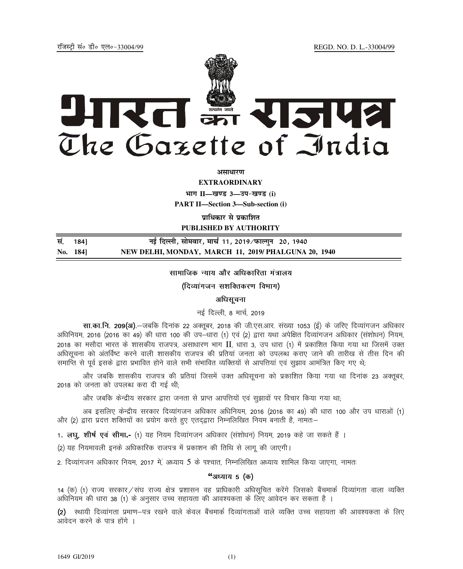jftLVªh laö Mhö ,yö&33004@99 REGD. NO. D. L.-33004/99



*<u>ature</u>ly* 

**EXTRAORDINARY**

**Hkkx II—[k.M 3—mi&[k.M (i)**

**PART II—Section 3—Sub-section (i)** 

**प्राधिकार से प्रकाशित** 

**PUBLISHED BY AUTHORITY**

**la- 184] ubZ fnYyh] lkseokj] ekp Z 11] 2019@iQkYxqu 20] 1940 No. 184] NEW DELHI, MONDAY, MARCH 11, 2019/ PHALGUNA 20, 1940**

सामाजिक न्याय और अधिकारिता मंत्रालय

(दिव्यांगजन सशक्तिकरण विभाग)

# अधिसचना

नई दिल्ली, 8 मार्च, 2019

र्सा.का.नि. 209(अ).-जबकि दिनांक 22 अक्तुबर, 2018 की जी.एस.आर. संख्या 1053 (ई) के जरिए दिव्यांगजन अधिकार अधिनियम, 2016 (2016 का 49) की धारा 100 की उप—धारा (1) एवं (2) द्वारा यथा अपेक्षित दिव्यांगजन अधिकार (संशोधन) नियम, 2018 का मसौदा भारत के शासकीय राजपत्र, असाधारण भाग II, धारा 3, उप धारा (1) में प्रकाशित किया गया था जिसमें उक्त अधिसूचना को अंतर्विष्ट करने वाली शासकीय राजपत्र की प्रतियां जनता को उपलब्ध कराए जाने की तारीख से तीस दिन की समाप्ति से पूर्व इसके द्वारा प्रभावित होने वाले सभी संभावित व्यक्तियों से आपत्तियां एवं सुझाव आमंत्रित किए गए थे;

और जबकि शासकीय राजपत्र की प्रतियां जिसमें उक्त अधिसूचना को प्रकाशित किया गया था दिनांक 23 अक्तूबर, 2018 को जनता को उपलब्ध करा दी गई थी;

और जबकि केन्द्रीय सरकार द्वारा जनता से प्राप्त आपत्तियों एवं सुझावों पर विचार किया गया था;

अब इसलिए केन्द्रीय सरकार दिव्यांगजन अधिकार अधिनियम, 2016 (2016 का 49) की धारा 100 और उप धाराओं (1) और (2) द्वारा प्रदत्त शक्तियों का प्रयोग करते हुए एतदद्वारा निम्नलिखित नियम बनाती है, नामतः—

1**. लघू, शीर्ष एवं सीमा.-** (1) यह नियम दिव्यांगजन अधिकार (संशोधन) नियम, 2019 कहे जा सकते हैं ।

(2) यह नियमावली इनके अधिकारिक राजपत्र में प्रकाशन की तिथि से लागू की जाएगी।

2. दिव्यांगजन अधिकार नियम, 2017 में, अध्याय 5 के पश्चात, निम्नलिखित अध्याय शामिल किया जाएगा, नामतः

# "अध्याय 5 (क)

14 (क) (1) राज्य सरकार / संघ राज्य क्षेत्र प्रशासन वह प्राधिकारी अधिसुचित करेंगे जिसको बैंचमार्क दिव्यांगता वाला व्यक्ति अधिनियम की धारा 38 (1) के अनुसार उच्च सहायता की आवश्यकता के लिए आवेदन कर सकता है ।

(2) स्थायी दिव्यांगता प्रमाण–पत्र रखने वाले केवल बैंचमार्क दिव्यांगताओं वाले व्यक्ति उच्च सहायता की आवश्यकता के लिए आवेदन करने के पात्र होंगे ।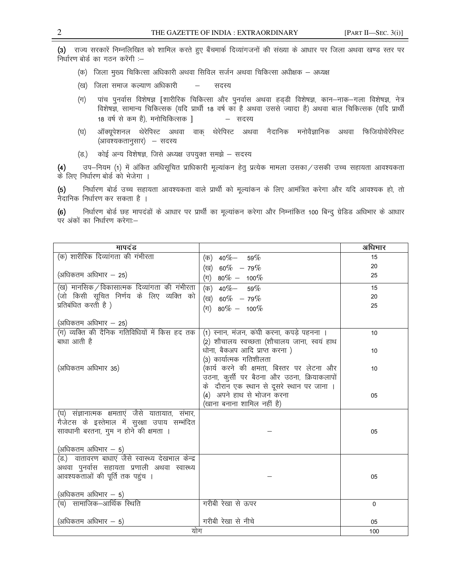(3) राज्य सरकारें निम्नलिखित को शामिल करते हुए बैंचमार्क दिव्यांगजनों की संख्या के आधार पर जिला अथवा खण्ड स्तर पर निर्धारण बोर्ड का गठन करेंगी :-

- (क) जिला मुख्य चिकित्सा अधिकारी अथवा सिविल सर्जन अथवा चिकित्सा अधीक्षक अध्यक्ष
- (ख) जिला समाज कल्याण अधिकारी सदस्य  $\sim$
- पांच पुनर्वास विशेषज्ञ [शारीरिक चिकित्सा और पुनर्वास अथवा हड्डी विशेषज्ञ, कान—नाक—गला विशेषज्ञ, नेत्र<br>विशेषज्ञ, सामान्य चिकित्सक (यदि प्रार्थी 18 वर्ष का है अथवा उससे ज्यादा है) अथवा बाल चिकित्सक (यदि प्रार्थी  $(\pi)$ 18 वर्ष से कम है), मनोचिकित्सक ] – सदस्य
- $(\overline{v})$ ऑक्यूपेशनल थेरेपिस्ट अथवा वाक् थेरेपिस्ट अथवा नैदानिक मनोवैज्ञानिक अथवा फिजियोथैरेपिस्ट (आवश्यकतानुसार) – सदस्य
- (ভ.) कोई अन्य विशेषज्ञ, जिसे अध्यक्ष उपयुक्त समझे – सदस्य

उप-नियम (1) में अंकित अधिसूचित प्राधिकारी मूल्यांकन हेतू प्रत्येक मामला उसका / उसकी उच्च सहायता आवश्यकता  $(4)$ के लिए निर्धारण बोर्ड को भेजेगा ।

निर्धारण बोर्ड उच्च सहायता आवश्यकता वाले प्रार्थी को मूल्यांकन के लिए आमंत्रित करेगा और यदि आवश्यक हो, तो  $(5)$ नैदानिक निर्धारण कर सकता है ।

निर्धारण बोर्ड छह मापदंडों के आधार पर प्रार्थी का मूल्यांकन करेगा और निम्नांकित 100 बिन्दु ग्रेडिड अधिभार के आधार  $(6)$ पर अंकों का निर्धारण करेगा:-

| मापदंड                                             |                                             | अधिभार       |
|----------------------------------------------------|---------------------------------------------|--------------|
| (क) शारीरिक दिव्यांगता की गंभीरता                  | (क) $40\% - 59\%$                           | 15           |
|                                                    | (ख) 60% - 79%                               | 20           |
| (अधिकतम अधिभार - 25)                               | $(\pi)$ 80% - 100%                          | 25           |
| (ख) मानसिक ⁄ विकासात्मक दिव्यांगता की गंभीरता      | $(\overline{\sigma})$ 40% - 59%             | 15           |
| (जो किसी सूचित निर्णय के लिए व्यक्ति को            | (ख) 60% - 79%                               | 20           |
| प्रतिबंधित करती है)                                | (可) $80\% - 100\%$                          | 25           |
| (अधिकतम अधिभार $-25$ )                             |                                             |              |
| (ग) व्यक्ति की दैनिक गतिविधियों में किस हद तक      | (1) स्नान, मंजन, कंघी करना, कपड़े पहनना ।   | 10           |
| बाधा आती है                                        | (2) शौचालय स्वच्छता (शौचालय जाना, स्वयं हाथ |              |
|                                                    | धोना, बैकअप आदि प्राप्त करना)               | 10           |
|                                                    | (3) कार्यात्मक गतिशीलता                     |              |
| (अधिकतम अधिभार 35)                                 | (कार्य करने की क्षमता, बिस्तर पर लेटना और   | 10           |
|                                                    | उठना, कुर्सी पर बैठना और उठना, क्रियाकलापों |              |
|                                                    | के दौरान एक स्थान से दूसरे स्थान पर जाना ।  |              |
|                                                    | (4) अपने हाथ से भोजन करना                   | 05           |
|                                                    | (खाना बनाना शामिल नहीं है)                  |              |
| (घ) संज्ञानात्मक क्षमताएं जैसे यातायात, संभार,     |                                             |              |
| गैजेटस के इस्तेमाल में सुरक्षा उपाय सम्भंदित       |                                             |              |
| सावधानी बरतना, गुम न होने की क्षमता ।              |                                             | 05           |
| (अधिकतम अधिभार $-5$ )                              |                                             |              |
| (ड.)  वातावरण बाधाएं जैसे स्वास्थ्य देखभाल केन्द्र |                                             |              |
| अथवा पुनर्वास सहायता प्रणाली अथवा स्वास्थ्य        |                                             |              |
| आवश्यकताओं की पूर्ति तक पहुंच ।                    |                                             | 05           |
| (अधिकतम अधिभार $-5$ )                              |                                             |              |
| (च)   सामाजिक–आर्थिक स्थिति                        | गरीबी रेखा से ऊपर                           | $\mathbf{0}$ |
|                                                    |                                             |              |
| (अधिकतम अधिभार – 5)                                | गरीबी रेखा से नीचे                          | 05           |
| योग                                                |                                             | 100          |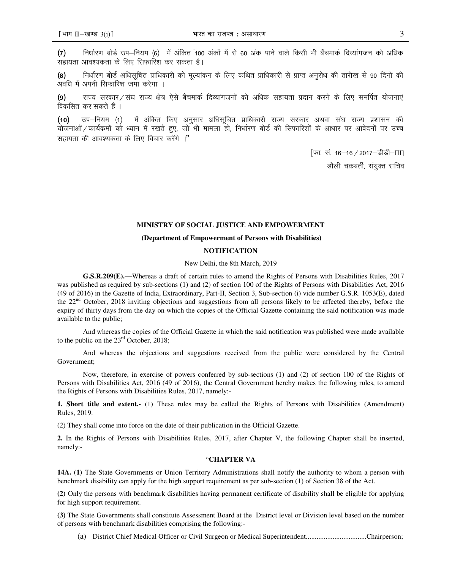निर्धारण बोर्ड उप–नियम (6)) में अंकित 100 अंकों में से 60 अंक पाने वाले किसी भी बैंचमार्क दिव्यांगजन को अधिक  $(7)$ सहायता आवश्यकता के लिए सिफारिश कर सकता है।

निर्धारण बोर्ड अधिसचित प्राधिकारी को मल्यांकन के लिए कथित प्राधिकारी से प्राप्त अनरोध की तारीख से 90 दिनों की  $(8)$ .<br>अवधि में अपनी सिफारिश जमा करेगा ।

राज्य सरकार ⁄ संघ राज्य क्षेत्र ऐसे बैंचमार्क दिव्यांगजनों को अधिक सहायता प्रदान करने के लिए समर्पित योजनाएं  $\left(9\right)$ विकसित कर सकते हैं ।

में अंकित किए अनुसार अधिसूचित प्राधिकारी राज्य सरकार अथवा संघ राज्य प्रशासन की  $(10)$ उप—नियम (1) योजनाओं / कार्यक्रमों को ध्यान में रखते हुए, जो भी मामला हो, निर्धारण बोर्ड की सिफारिशों के आधार पर आवेदनों पर उच्च सहायता की आवश्यकता के लिए विचार करेंगे ।"

> [फा. सं. 16-16 / 2017-डीडी-III] डौली चक्रबर्ती, संयुक्त सचिव

#### MINISTRY OF SOCIAL JUSTICE AND EMPOWERMENT

### (Department of Empowerment of Persons with Disabilities)

### **NOTIFICATION**

New Delhi, the 8th March, 2019

G.S.R.209(E).—Whereas a draft of certain rules to amend the Rights of Persons with Disabilities Rules, 2017 was published as required by sub-sections (1) and (2) of section 100 of the Rights of Persons with Disabilities Act, 2016 (49 of 2016) in the Gazette of India, Extraordinary, Part-II, Section 3, Sub-section (i) vide number G.S.R. 1053(E), dated the 22<sup>nd</sup> October, 2018 inviting objections and suggestions from all persons likely to be affected thereby, before the expiry of thirty days from the day on which the copies of the Official Gazette containing the said notification was made available to the public;

And whereas the copies of the Official Gazette in which the said notification was published were made available to the public on the  $23<sup>rd</sup>$  October, 2018:

And whereas the objections and suggestions received from the public were considered by the Central Government:

Now, therefore, in exercise of powers conferred by sub-sections (1) and (2) of section 100 of the Rights of Persons with Disabilities Act, 2016 (49 of 2016), the Central Government hereby makes the following rules, to amend the Rights of Persons with Disabilities Rules, 2017, namely:-

1. Short title and extent. (1) These rules may be called the Rights of Persons with Disabilities (Amendment) Rules, 2019.

(2) They shall come into force on the date of their publication in the Official Gazette.

2. In the Rights of Persons with Disabilities Rules, 2017, after Chapter V, the following Chapter shall be inserted, namely:-

# "CHAPTER VA

14A. (1) The State Governments or Union Territory Administrations shall notify the authority to whom a person with benchmark disability can apply for the high support requirement as per sub-section (1) of Section 38 of the Act.

(2) Only the persons with benchmark disabilities having permanent certificate of disability shall be eligible for applying for high support requirement.

(3) The State Governments shall constitute Assessment Board at the District level or Division level based on the number of persons with benchmark disabilities comprising the following:-

(a) District Chief Medical Officer or Civil Surgeon or Medical Superintendent...............................Chairperson;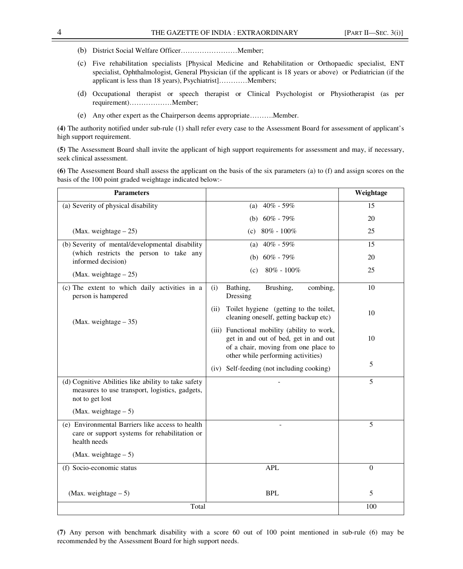- (b) District Social Welfare Officer……………………Member;
- (c) Five rehabilitation specialists [Physical Medicine and Rehabilitation or Orthopaedic specialist, ENT specialist, Ophthalmologist, General Physician (if the applicant is 18 years or above) or Pediatrician (if the applicant is less than 18 years), Psychiatrist]…………Members;
- (d) Occupational therapist or speech therapist or Clinical Psychologist or Physiotherapist (as per requirement)………………Member;
- (e) Any other expert as the Chairperson deems appropriate……….Member.

**(4)** The authority notified under sub-rule (1) shall refer every case to the Assessment Board for assessment of applicant's high support requirement.

**(5)** The Assessment Board shall invite the applicant of high support requirements for assessment and may, if necessary, seek clinical assessment.

**(6)** The Assessment Board shall assess the applicant on the basis of the six parameters (a) to (f) and assign scores on the basis of the 100 point graded weightage indicated below:-

| <b>Parameters</b>                                                                                                        |                                                                                                                                                                    | Weightage |
|--------------------------------------------------------------------------------------------------------------------------|--------------------------------------------------------------------------------------------------------------------------------------------------------------------|-----------|
| (a) Severity of physical disability                                                                                      | 40% - 59%<br>(a)                                                                                                                                                   | 15        |
|                                                                                                                          | $60\%$ - 79%<br>(b)                                                                                                                                                | 20        |
| (Max. weightage $-25$ )                                                                                                  | $80\% - 100\%$<br>(c)                                                                                                                                              | 25        |
| (b) Severity of mental/developmental disability                                                                          | 40% - 59%<br>(a)                                                                                                                                                   | 15        |
| (which restricts the person to take any<br>informed decision)                                                            | (b) $60\% - 79\%$                                                                                                                                                  | 20        |
| (Max. weightage $-25$ )                                                                                                  | $80\% - 100\%$<br>(c)                                                                                                                                              | 25        |
| (c) The extent to which daily activities in a<br>person is hampered                                                      | (i)<br>Bathing,<br>Brushing,<br>combing,<br>Dressing                                                                                                               | 10        |
| (Max. weightage $-35$ )                                                                                                  | Toilet hygiene (getting to the toilet,<br>(ii)<br>cleaning oneself, getting backup etc)                                                                            | 10        |
|                                                                                                                          | (iii) Functional mobility (ability to work,<br>get in and out of bed, get in and out<br>of a chair, moving from one place to<br>other while performing activities) | 10        |
|                                                                                                                          | (iv) Self-feeding (not including cooking)                                                                                                                          | 5         |
| (d) Cognitive Abilities like ability to take safety<br>measures to use transport, logistics, gadgets,<br>not to get lost |                                                                                                                                                                    | 5         |
| (Max. weightage $-5$ )                                                                                                   |                                                                                                                                                                    |           |
| (e) Environmental Barriers like access to health<br>care or support systems for rehabilitation or<br>health needs        | $\overline{\phantom{a}}$                                                                                                                                           | 5         |
| (Max. weightage $-5$ )                                                                                                   |                                                                                                                                                                    |           |
| (f) Socio-economic status                                                                                                | <b>APL</b>                                                                                                                                                         | $\Omega$  |
| (Max. weightage $-5$ )                                                                                                   | <b>BPL</b>                                                                                                                                                         | 5         |
| Total                                                                                                                    |                                                                                                                                                                    | 100       |

**(7)** Any person with benchmark disability with a score 60 out of 100 point mentioned in sub-rule (6) may be recommended by the Assessment Board for high support needs.